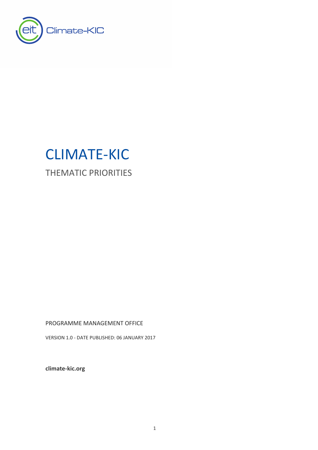

# CLIMATE-KIC

THEMATIC PRIORITIES

PROGRAMME MANAGEMENT OFFICE

VERSION 1.0 - DATE PUBLISHED: 06 JANUARY 2017

**[climate-kic.org](http://www.eit.europa.eu/)**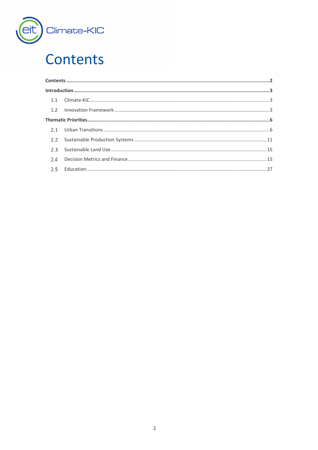

## <span id="page-1-0"></span>**Contents**

| 2.2 |  |
|-----|--|
| 2.3 |  |
| 2.4 |  |
|     |  |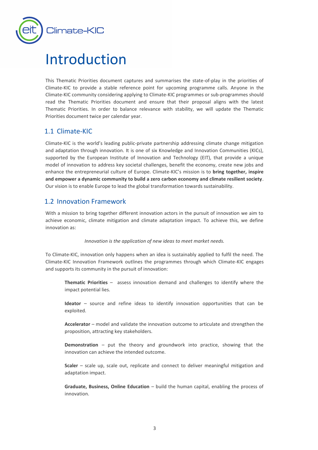

## <span id="page-2-0"></span>Introduction

This Thematic Priorities document captures and summarises the state-of-play in the priorities of Climate-KIC to provide a stable reference point for upcoming programme calls. Anyone in the Climate-KIC community considering applying to Climate-KIC programmes or sub-programmes should read the Thematic Priorities document and ensure that their proposal aligns with the latest Thematic Priorities. In order to balance relevance with stability, we will update the Thematic Priorities document twice per calendar year.

## <span id="page-2-1"></span>1.1 Climate-KIC

Climate-KIC is the world's leading public-private partnership addressing climate change mitigation and adaptation through innovation. It is one of six Knowledge and Innovation Communities (KICs), supported by the European Institute of Innovation and Technology (EIT), that provide a unique model of innovation to address key societal challenges, benefit the economy, create new jobs and enhance the entrepreneurial culture of Europe. Climate-KIC's mission is to **bring together, inspire and empower a dynamic community to build a zero carbon economy and climate resilient society**. Our vision is to enable Europe to lead the global transformation towards sustainability.

## <span id="page-2-2"></span>1.2 Innovation Framework

With a mission to bring together different innovation actors in the pursuit of innovation we aim to achieve economic, climate mitigation and climate adaptation impact. To achieve this, we define innovation as:

#### *Innovation is the application of new ideas to meet market needs.*

To Climate-KIC, innovation only happens when an idea is sustainably applied to fulfil the need. The Climate-KIC Innovation Framework outlines the programmes through which Climate-KIC engages and supports its community in the pursuit of innovation:

**Thematic Priorities** – assess innovation demand and challenges to identify where the impact potential lies.

**Ideator** – source and refine ideas to identify innovation opportunities that can be exploited.

**Accelerator** – model and validate the innovation outcome to articulate and strengthen the proposition, attracting key stakeholders.

**Demonstration** – put the theory and groundwork into practice, showing that the innovation can achieve the intended outcome.

**Scaler** – scale up, scale out, replicate and connect to deliver meaningful mitigation and adaptation impact.

**Graduate, Business, Online Education** – build the human capital, enabling the process of innovation.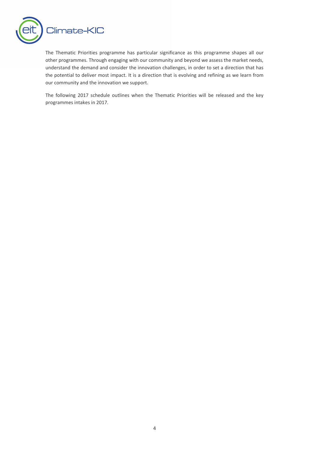

The Thematic Priorities programme has particular significance as this programme shapes all our other programmes. Through engaging with our community and beyond we assess the market needs, understand the demand and consider the innovation challenges, in order to set a direction that has the potential to deliver most impact. It is a direction that is evolving and refining as we learn from our community and the innovation we support.

The following 2017 schedule outlines when the Thematic Priorities will be released and the key programmes intakes in 2017.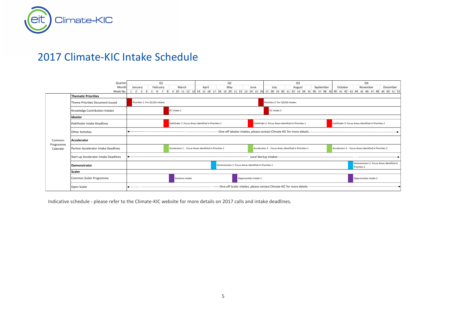

## 2017 Climate-KIC Intake Schedule

|                       | Quarter                               |                                                                                                                                                    |                                                                      |          | Q1 |                                            |       |  |                                                        |       |  |  | Q <sub>2</sub> |                                                                  |  |                                                        |  |      |  |  | Q <sub>3</sub>                                         |           |         |  |  |  | Q4       |  |          |
|-----------------------|---------------------------------------|----------------------------------------------------------------------------------------------------------------------------------------------------|----------------------------------------------------------------------|----------|----|--------------------------------------------|-------|--|--------------------------------------------------------|-------|--|--|----------------|------------------------------------------------------------------|--|--------------------------------------------------------|--|------|--|--|--------------------------------------------------------|-----------|---------|--|--|--|----------|--|----------|
|                       | Month                                 |                                                                                                                                                    |                                                                      | February |    |                                            | March |  |                                                        | April |  |  | May            |                                                                  |  | June                                                   |  | July |  |  | August                                                 | September | October |  |  |  | November |  | December |
|                       | Week No<br><b>Thematic Priorities</b> | 1 2 3 4 5 6 7 8 9 10 11 12 13 14 15 16 17 18 19 20 21 22 23 24 25 26 27 28 29 30 31 32 33 34 35 36 37 38 39 40 41 42 43 44 45 46 47 48 49 50 51 52 |                                                                      |          |    |                                            |       |  |                                                        |       |  |  |                |                                                                  |  |                                                        |  |      |  |  |                                                        |           |         |  |  |  |          |  |          |
|                       |                                       |                                                                                                                                                    |                                                                      |          |    |                                            |       |  |                                                        |       |  |  |                |                                                                  |  |                                                        |  |      |  |  |                                                        |           |         |  |  |  |          |  |          |
|                       | Theme Priorities Document Issued      | Priorities 1: For Q1/Q2 intakes                                                                                                                    |                                                                      |          |    | Priorities 2: For Q3/Q4 intakes            |       |  |                                                        |       |  |  |                |                                                                  |  |                                                        |  |      |  |  |                                                        |           |         |  |  |  |          |  |          |
|                       | Knowledge Contribution Intakes        |                                                                                                                                                    |                                                                      |          |    | KC Intake 1<br>KC Intake 2                 |       |  |                                                        |       |  |  |                |                                                                  |  |                                                        |  |      |  |  |                                                        |           |         |  |  |  |          |  |          |
|                       | Ideator                               |                                                                                                                                                    |                                                                      |          |    |                                            |       |  |                                                        |       |  |  |                |                                                                  |  |                                                        |  |      |  |  |                                                        |           |         |  |  |  |          |  |          |
|                       | Pathfinder Intake Deadlines           | Pathfinder 2: Focus Areas identified in Priorities 1<br>Pathfinder 1: Focus Areas identified in Priorities 1                                       |                                                                      |          |    |                                            |       |  |                                                        |       |  |  |                | Pathfinder 3: Focus Areas identified in Priorities 2             |  |                                                        |  |      |  |  |                                                        |           |         |  |  |  |          |  |          |
|                       | <b>Other Activities</b>               | -One-off Ideator intakes, please contact Climate-KIC for more details-                                                                             |                                                                      |          |    |                                            |       |  |                                                        |       |  |  |                |                                                                  |  |                                                        |  |      |  |  |                                                        |           |         |  |  |  |          |  |          |
| Common                | Accelerator                           |                                                                                                                                                    |                                                                      |          |    |                                            |       |  |                                                        |       |  |  |                |                                                                  |  |                                                        |  |      |  |  |                                                        |           |         |  |  |  |          |  |          |
| Programme<br>Calendar | Partner Accelerator Intake Deadlines  |                                                                                                                                                    |                                                                      |          |    |                                            |       |  | Accelerator 1 - Focus Areas identified in Priorities 1 |       |  |  |                |                                                                  |  | Accelerator 2 - Focus Areas identified in Priorities 1 |  |      |  |  | Accelerator 3 - Focus Areas identified in Priorities 2 |           |         |  |  |  |          |  |          |
|                       | Start-up Accelerator Intake Deadlines | Local Startup intakes-                                                                                                                             |                                                                      |          |    |                                            |       |  |                                                        |       |  |  |                |                                                                  |  |                                                        |  |      |  |  |                                                        |           |         |  |  |  |          |  |          |
|                       | <b>Demonstrator</b>                   |                                                                                                                                                    | Demonstrator 1: Focus Areas identified in Priorities 1               |          |    |                                            |       |  |                                                        |       |  |  |                | Demonstrator 2: Focus Areas identified in<br><b>Priorities 2</b> |  |                                                        |  |      |  |  |                                                        |           |         |  |  |  |          |  |          |
|                       | <b>Scaler</b>                         |                                                                                                                                                    |                                                                      |          |    |                                            |       |  |                                                        |       |  |  |                |                                                                  |  |                                                        |  |      |  |  |                                                        |           |         |  |  |  |          |  |          |
|                       | Common Scaler Programme               |                                                                                                                                                    |                                                                      |          |    | Opportunities Intake 1<br>Solutions Intake |       |  |                                                        |       |  |  |                | Opportunities Intake 2                                           |  |                                                        |  |      |  |  |                                                        |           |         |  |  |  |          |  |          |
|                       | Open Scaler                           |                                                                                                                                                    | -One-off Scaler intakes, please contact Climate-KIC for more details |          |    |                                            |       |  |                                                        |       |  |  |                |                                                                  |  |                                                        |  |      |  |  |                                                        |           |         |  |  |  |          |  |          |

Indicative schedule - please refer to the Climate-KIC website for more details on 2017 calls and intake deadlines.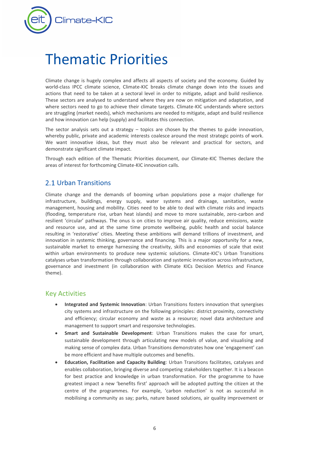

## <span id="page-5-0"></span>Thematic Priorities

Climate change is hugely complex and affects all aspects of society and the economy. Guided by world-class IPCC climate science, Climate-KIC breaks climate change down into the issues and actions that need to be taken at a sectoral level in order to mitigate, adapt and build resilience. These sectors are analysed to understand where they are now on mitigation and adaptation, and where sectors need to go to achieve their climate targets. Climate-KIC understands where sectors are struggling (market needs), which mechanisms are needed to mitigate, adapt and build resilience and how innovation can help (supply) and facilitates this connection.

The sector analysis sets out a strategy  $-$  topics are chosen by the themes to guide innovation, whereby public, private and academic interests coalesce around the most strategic points of work. We want innovative ideas, but they must also be relevant and practical for sectors, and demonstrate significant climate impact.

Through each edition of the Thematic Priorities document, our Climate-KIC Themes declare the areas of interest for forthcoming Climate-KIC innovation calls.

## <span id="page-5-1"></span>2.1 Urban Transitions

Climate change and the demands of booming urban populations pose a major challenge for infrastructure, buildings, energy supply, water systems and drainage, sanitation, waste management, housing and mobility. Cities need to be able to deal with climate risks and impacts (flooding, temperature rise, urban heat islands) and move to more sustainable, zero-carbon and resilient 'circular' pathways. The onus is on cities to improve air quality, reduce emissions, waste and resource use, and at the same time promote wellbeing, public health and social balance resulting in 'restorative' cities. Meeting these ambitions will demand trillions of investment, and innovation in systemic thinking, governance and financing. This is a major opportunity for a new, sustainable market to emerge harnessing the creativity, skills and economies of scale that exist within urban environments to produce new systemic solutions. Climate-KIC's Urban Transitions catalyses urban transformation through collaboration and systemic innovation across infrastructure, governance and investment (in collaboration with Climate KICs Decision Metrics and Finance theme).

## Key Activities

- **Integrated and Systemic Innovation**: Urban Transitions fosters innovation that synergises city systems and infrastructure on the following principles: district proximity, connectivity and efficiency; circular economy and waste as a resource; novel data architecture and management to support smart and responsive technologies.
- **Smart and Sustainable Development**: Urban Transitions makes the case for smart, sustainable development through articulating new models of value, and visualising and making sense of complex data. Urban Transitions demonstrates how one 'engagement' can be more efficient and have multiple outcomes and benefits.
- **Education, Facilitation and Capacity Building**: Urban Transitions facilitates, catalyses and enables collaboration, bringing diverse and competing stakeholders together. It is a beacon for best practice and knowledge in urban transformation. For the programme to have greatest impact a new 'benefits first' approach will be adopted putting the citizen at the centre of the programmes. For example, 'carbon reduction' is not as successful in mobilising a community as say; parks, nature based solutions, air quality improvement or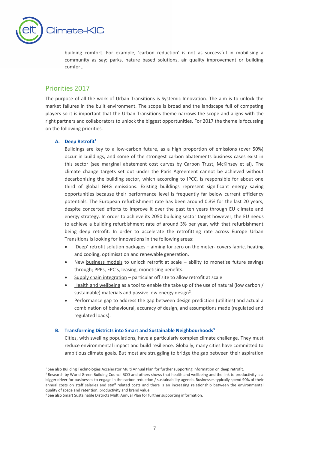

building comfort. For example, 'carbon reduction' is not as successful in mobilising a community as say; parks, nature based solutions, air quality improvement or building comfort.

## Priorities 2017

The purpose of all the work of Urban Transitions is Systemic Innovation. The aim is to unlock the market failures in the built environment. The scope is broad and the landscape full of competing players so it is important that the Urban Transitions theme narrows the scope and aligns with the right partners and collaborators to unlock the biggest opportunities. For 2017 the theme is focussing on the following priorities.

#### **A. Deep Retrofit<sup>1</sup>**

-

Buildings are key to a low-carbon future, as a high proportion of emissions (over 50%) occur in buildings, and some of the strongest carbon abatements business cases exist in this sector (see marginal abatement cost curves by Carbon Trust, McKinsey et al). The climate change targets set out under the Paris Agreement cannot be achieved without decarbonizing the building sector, which according to IPCC, is responsible for about one third of global GHG emissions. Existing buildings represent significant energy saving opportunities because their performance level is frequently far below current efficiency potentials. The European refurbishment rate has been around 0.3% for the last 20 years, despite concerted efforts to improve it over the past ten years through EU climate and energy strategy. In order to achieve its 2050 building sector target however, the EU needs to achieve a building refurbishment rate of around 3% per year, with that refurbishment being deep retrofit. In order to accelerate the retrofitting rate across Europe Urban Transitions is looking for innovations in the following areas:

- 'Deep' retrofit solution packages aiming for zero on the meter- covers fabric, heating and cooling, optimisation and renewable generation.
- New business models to unlock retrofit at scale ability to monetise future savings through; PPPs, EPC's, leasing, monetising benefits.
- Supply chain integration particular off site to allow retrofit at scale
- Health and wellbeing as a tool to enable the take up of the use of natural (low carbon / sustainable) materials and passive low energy design<sup>2</sup>.
- Performance gap to address the gap between design prediction (utilities) and actual a combination of behavioural, accuracy of design, and assumptions made (regulated and regulated loads).

#### **B. Transforming Districts into Smart and Sustainable Neighbourhoods<sup>3</sup>**

Cities, with swelling populations, have a particularly complex climate challenge. They must reduce environmental impact and build resilience. Globally, many cities have committed to ambitious climate goals. But most are struggling to bridge the gap between their aspiration

<sup>1</sup> See also Building Technologies Accelerator Multi Annual Plan for further supporting information on deep retrofit.

<sup>&</sup>lt;sup>2</sup> Research by World Green Building Council BCO and others shows that health and wellbeing and the link to productivity is a bigger driver for businesses to engage in the carbon reduction / sustainability agenda. Businesses typically spend 90% of their annual costs on staff salaries and staff related costs and there is an increasing relationship between the environmental quality of space and retention, productivity and brand value.

<sup>&</sup>lt;sup>3</sup> See also Smart Sustainable Districts Multi Annual Plan for further supporting information.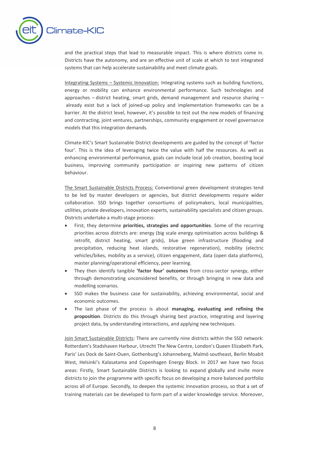

and the practical steps that lead to measurable impact. This is where districts come in. Districts have the autonomy, and are an effective unit of scale at which to test integrated systems that can help accelerate sustainability and meet climate goals.

Integrating Systems – Systemic Innovation: Integrating systems such as building functions, energy or mobility can enhance environmental performance. Such technologies and approaches – district heating, smart grids, demand management and resource sharing – already exist but a lack of joined-up policy and implementation frameworks can be a barrier. At the district level, however, it's possible to test out the new models of financing and contracting, joint ventures, partnerships, community engagement or novel governance models that this integration demands.

Climate-KIC's Smart Sustainable District developments are guided by the concept of 'factor four'. This is the idea of leveraging twice the value with half the resources. As well as enhancing environmental performance, goals can include local job creation, boosting local business, improving community participation or inspiring new patterns of citizen behaviour.

The Smart Sustainable Districts Process: Conventional green development strategies tend to be led by master developers or agencies, but district developments require wider collaboration. SSD brings together consortiums of policymakers, local municipalities, utilities, private developers, innovation experts, sustainability specialists and citizen groups. Districts undertake a multi-stage process:

- First, they determine **priorities, strategies and opportunities**. Some of the recurring priorities across districts are: energy (big scale energy optimisation across buildings & retrofit, district heating, smart grids), blue green infrastructure (flooding and precipitation, reducing heat islands, restorative regeneration), mobility (electric vehicles/bikes, mobility as a service), citizen engagement, data (open data platforms), master planning/operational efficiency, peer learning.
- They then identify tangible **'factor four' outcomes** from cross-sector synergy, either through demonstrating unconsidered benefits, or through bringing in new data and modelling scenarios.
- SSD makes the business case for sustainability, achieving environmental, social and economic outcomes.
- The last phase of the process is about **managing, evaluating and refining the proposition**. Districts do this through sharing best practice, integrating and layering project data, by understanding interactions, and applying new techniques.

Join Smart Sustainable Districts: There are currently nine districts within the SSD network: Rotterdam's Stadshaven Harbour, Utrecht The New Centre, London's Queen Elizabeth Park, Paris' Les Dock de Saint-Ouen, Gothenburg's Johanneberg, Malmö southeast, Berlin Moabit West, Helsinki's Kalasatama and Copenhagen Energy Block. In 2017 we have two focus areas: Firstly, Smart Sustainable Districts is looking to expand globally and invite more districts to join the programme with specific focus on developing a more balanced portfolio across all of Europe. Secondly, to deepen the systemic innovation process, so that a set of training materials can be developed to form part of a wider knowledge service. Moreover,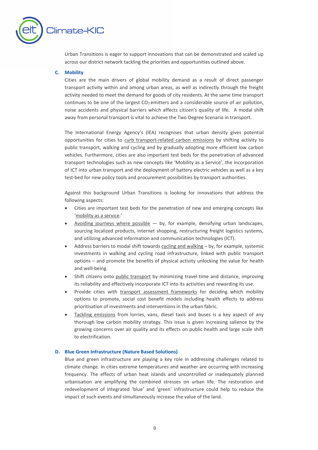

Urban Transitions is eager to support innovations that can be demonstrated and scaled up across our district network tackling the priorities and opportunities outlined above.

#### **C. Mobility**

Cities are the main drivers of global mobility demand as a result of direct passenger transport activity within and among urban areas, as well as indirectly through the freight activity needed to meet the demand for goods of city residents. At the same time transport continues to be one of the largest  $CO<sub>2</sub>$  emitters and a considerable source of air pollution, noise accidents and physical barriers which affects citizen's quality of life. A modal shift away from personal transport is vital to achieve the Two Degree Scenario in transport.

The International Energy Agency's (IEA) recognises that urban density gives potential opportunities for cities to curb transport-related carbon emissions by shifting activity to public transport, walking and cycling and by gradually adopting more efficient low carbon vehicles. Furthermore, cities are also important test beds for the penetration of advanced transport technologies such as new concepts like 'Mobility as a Service', the incorporation of ICT into urban transport and the deployment of battery electric vehicles as well as a key test-bed for new policy tools and procurement possibilities by transport authorities.

Against this background Urban Transitions is looking for innovations that address the following aspects:

- Cities are important test beds for the penetration of new and emerging concepts like 'mobility as a service.'
- Avoiding journeys where possible  $-$  by, for example, densifying urban landscapes, sourcing localized products, internet shopping, restructuring freight logistics systems, and utilizing advanced information and communication technologies (ICT).
- Address barriers to modal shift towards cycling and walking by, for example, systemic investments in walking and cycling road infrastructure, linked with public transport options – and promote the benefits of physical activity unlocking the value for health and well-being.
- Shift citizens onto public transport by minimizing travel time and distance, improving its reliability and effectively incorporate ICT into its activities and rewarding its use.
- Provide cities with transport assessment frameworks for deciding which mobility options to promote, social cost benefit models including health effects to address prioritisation of investments and interventions in the urban fabric.
- Tackling emissions from lorries, vans, diesel taxis and buses is a key aspect of any thorough low carbon mobility strategy. This issue is given increasing salience by the growing concerns over air quality and its effects on public health and large scale shift to electrification.

#### **D. Blue Green Infrastructure (Nature Based Solutions)**

Blue and green infrastructure are playing a key role in addressing challenges related to climate change. In cities extreme temperatures and weather are occurring with increasing frequency. The effects of urban heat islands and uncontrolled or inadequately planned urbanisation are amplifying the combined stresses on urban life. The restoration and redevelopment of integrated 'blue' and 'green' infrastructure could help to reduce the impact of such events and simultaneously increase the value of the land.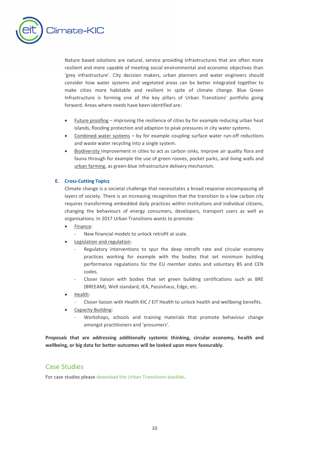

Nature based solutions are natural, service providing infrastructures that are often more resilient and more capable of meeting social environmental and economic objectives than 'grey infrastructure'. City decision makers, urban planners and water engineers should consider how water systems and vegetated areas can be better integrated together to make cities more habitable and resilient in spite of climate change. Blue Green Infrastructure is forming one of the key pillars of Urban Transitions' portfolio going forward. Areas where needs have been identified are:

- Future proofing improving the resilience of cities by for example reducing urban heat islands, flooding protection and adaption to peak pressures in city water systems.
- Combined water systems by for example coupling surface water run-off reductions and waste water recycling into a single system.
- Biodiversity improvement in cities to act as carbon sinks, improve air quality flora and fauna through for example the use of green rooves, pocket parks, and living walls and urban farming, as green-blue infrastructure delivery mechanism.

#### **E. Cross-Cutting Topics**

Climate change is a societal challenge that necessitates a broad response encompassing all layers of society. There is an increasing recognition that the transition to a low carbon city requires transforming embedded daily practices within institutions and individual citizens, changing the behaviours of energy consumers, developers, transport users as well as organisations. In 2017 Urban Transitions wants to promote:

- Finance:
	- New financial models to unlock retrofit at scale.
- Legislation and regulation:
	- Regulatory interventions to spur the deep retrofit rate and circular economy practices working for example with the bodies that set minimum building performance regulations for the EU member states and voluntary BS and CEN codes.
	- Closer liaison with bodies that set green building certifications such as BRE (BREEAM), Well standard, IEA, Passivhaus, Edge, etc.
- Health:
	- Closer liaison with Health KIC / EIT Health to unlock health and wellbeing benefits.
- Capacity Building:
	- Workshops, schools and training materials that promote behaviour change amongst practitioners and 'prosumers'.

**Proposals that are addressing additionally systemic thinking, circular economy, health and wellbeing, or big data for better outcomes will be looked upon more favourably.**

## Case Studies

For case studies pleas[e download the Urban Transitions booklet.](http://www.climate-kic.org/wp-content/uploads/2015/09/161031_CIS_2016_Brochure_Urban_Transitions_A4_100DPI.pdf)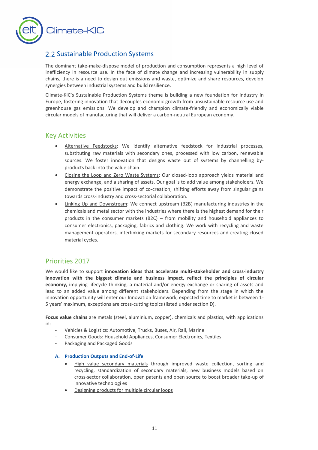

## <span id="page-10-0"></span>2.2 Sustainable Production Systems

The dominant take-make-dispose model of production and consumption represents a high level of inefficiency in resource use. In the face of climate change and increasing vulnerability in supply chains, there is a need to design out emissions and waste, optimize and share resources, develop synergies between industrial systems and build resilience.

Climate-KIC's Sustainable Production Systems theme is building a new foundation for industry in Europe, fostering innovation that decouples economic growth from unsustainable resource use and greenhouse gas emissions. We develop and champion climate-friendly and economically viable circular models of manufacturing that will deliver a carbon-neutral European economy.

### Key Activities

- Alternative Feedstocks: We identify alternative feedstock for industrial processes, substituting raw materials with secondary ones, processed with low carbon, renewable sources. We foster innovation that designs waste out of systems by channelling byproducts back into the value chain.
- Closing the Loop and Zero Waste Systems: Our closed-loop approach yields material and energy exchange, and a sharing of assets. Our goal is to add value among stakeholders. We demonstrate the positive impact of co-creation, shifting efforts away from singular gains towards cross-industry and cross-sectorial collaboration.
- Linking Up and Downstream: We connect upstream (B2B) manufacturing industries in the chemicals and metal sector with the industries where there is the highest demand for their products in the consumer markets (B2C) – from mobility and household appliances to consumer electronics, packaging, fabrics and clothing. We work with recycling and waste management operators, interlinking markets for secondary resources and creating closed material cycles.

## Priorities 2017

We would like to support **innovation ideas that accelerate multi-stakeholder and cross-industry innovation with the biggest climate and business impact, reflect the principles of circular economy,** implying lifecycle thinking, a material and/or energy exchange or sharing of assets and lead to an added value among different stakeholders. Depending from the stage in which the innovation opportunity will enter our Innovation framework, expected time to market is between 1- 5 years' maximum, exceptions are cross-cutting topics (listed under section D).

**Focus value chains** are metals (steel, aluminium, copper), chemicals and plastics, with applications in:

- Vehicles & Logistics: Automotive, Trucks, Buses, Air, Rail, Marine
- Consumer Goods: Household Appliances, Consumer Electronics, Textiles
- Packaging and Packaged Goods

#### **A. Production Outputs and End-of-Life**

- High value secondary materials through improved waste collection, sorting and recycling, standardization of secondary materials, new business models based on cross-sector collaboration, open patents and open source to boost broader take-up of innovative technologi es
- Designing products for multiple circular loops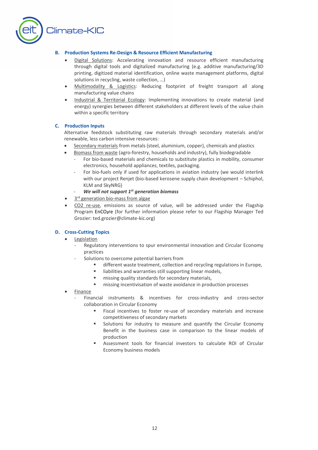

#### **B. Production Systems Re-Design & Resource Efficient Manufacturing**

- Digital Solutions: Accelerating innovation and resource efficient manufacturing through digital tools and digitalized manufacturing (e.g. additive manufacturing/3D printing, digitized material identification, online waste management platforms, digital solutions in recycling, waste collection, …)
- Multimodality & Logistics: Reducing footprint of freight transport all along manufacturing value chains
- Industrial & Territorial Ecology: Implementing innovations to create material (and energy) synergies between different stakeholders at different levels of the value chain within a specific territory

#### **C. Production Inputs**

Alternative feedstock substituting raw materials through secondary materials and/or renewable, less carbon intensive resources:

- Secondary materials from metals (steel, aluminium, copper), chemicals and plastics
- Biomass from waste (agro-forestry, households and industry), fully biodegradable
	- For bio-based materials and chemicals to substitute plastics in mobility, consumer electronics, household appliances, textiles, packaging.
	- For bio-fuels only if used for applications in aviation industry (we would interlink with our project Renjet (bio-based kerosene supply chain development – Schiphol, KLM and SkyNRG)
	- *We will not support 1st generation biomass*
- 3<sup>rd</sup> generation bio-mass from algae
- CO2 re-use, emissions as source of value, will be addressed under the Flagship Program EnCO**2**re (for further information please refer to our Flagship Manager Ted Grozier: ted.grozier@climate-kic.org)

#### **D. Cross-Cutting Topics**

- **Legislation** 
	- Regulatory interventions to spur environmental innovation and Circular Economy practices
	- Solutions to overcome potential barriers from
		- different waste treatment, collection and recycling regulations in Europe,
		- liabilities and warranties still supporting linear models,
		- missing quality standards for secondary materials,
		- missing incentivisation of waste avoidance in production processes
- Finance
	- Financial instruments & incentives for cross-industry and cross-sector collaboration in Circular Economy
		- Fiscal incentives to foster re-use of secondary materials and increase competitiveness of secondary markets
		- Solutions for industry to measure and quantify the Circular Economy Benefit in the business case in comparison to the linear models of production
		- Assessment tools for financial investors to calculate ROI of Circular Economy business models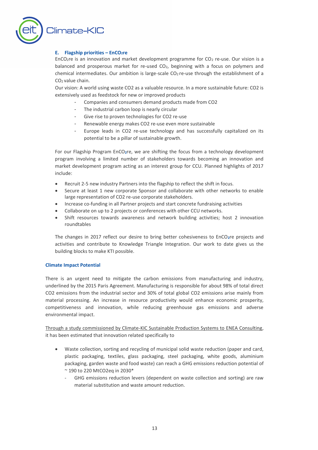

#### **E. Flagship priorities – EnCO2re**

EnCO<sub>2</sub>re is an innovation and market development programme for CO<sub>2</sub> re-use. Our vision is a balanced and prosperous market for re-used CO2, beginning with a focus on polymers and chemical intermediates. Our ambition is large-scale CO<sub>2</sub> re-use through the establishment of a CO2 value chain.

Our vision: A world using waste CO2 as a valuable resource. In a more sustainable future: CO2 is extensively used as feedstock for new or improved products

- Companies and consumers demand products made from CO2
- The industrial carbon loop is nearly circular
- Give rise to proven technologies for CO2 re-use
- Renewable energy makes CO2 re-use even more sustainable
- Europe leads in CO2 re-use technology and has successfully capitalized on its potential to be a pillar of sustainable growth.

For our Flagship Program EnCO**2**re, we are shifting the focus from a technology development program involving a limited number of stakeholders towards becoming an innovation and market development program acting as an interest group for CCU. Planned highlights of 2017 include:

- Recruit 2-5 new industry Partners into the flagship to reflect the shift in focus.
- Secure at least 1 new corporate Sponsor and collaborate with other networks to enable large representation of CO2 re-use corporate stakeholders.
- Increase co-funding in all Partner projects and start concrete fundraising activities
- Collaborate on up to 2 projects or conferences with other CCU networks.
- Shift resources towards awareness and network building activities; host 2 innovation roundtables

The changes in 2017 reflect our desire to bring better cohesiveness to EnCO**2**re projects and activities and contribute to Knowledge Triangle Integration. Our work to date gives us the building blocks to make KTI possible.

#### **Climate Impact Potential**

There is an urgent need to mitigate the carbon emissions from manufacturing and industry, underlined by the 2015 Paris Agreement. Manufacturing is responsible for about 98% of total direct CO2 emissions from the industrial sector and 30% of total global CO2 emissions arise mainly from material processing. An increase in resource productivity would enhance economic prosperity, competitiveness and innovation, while reducing greenhouse gas emissions and adverse environmental impact.

Through a study commissioned by Climate-KIC Sustainable Production Systems to ENEA Consulting, it has been estimated that innovation related specifically to

- Waste collection, sorting and recycling of municipal solid waste reduction (paper and card, plastic packaging, textiles, glass packaging, steel packaging, white goods, aluminium packaging, garden waste and food waste) can reach a GHG emissions reduction potential of ~ 190 to 220 MtCO2eq in 2030\*
	- GHG emissions reduction levers (dependent on waste collection and sorting) are raw material substitution and waste amount reduction.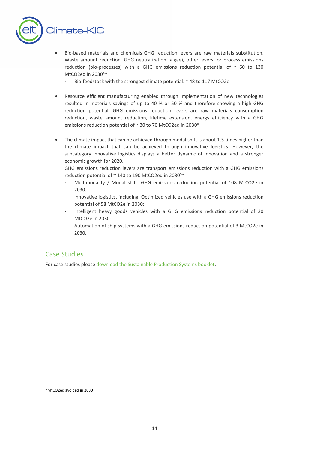

- Bio-based materials and chemicals GHG reduction levers are raw materials substitution, Waste amount reduction, GHG neutralization (algae), other levers for process emissions reduction (bio-processes) with a GHG emissions reduction potential of  $\sim$  60 to 130 MtCO2eq in  $2030^{4*}$ 
	- Bio-feedstock with the strongest climate potential: ~ 48 to 117 MtCO2e
- Resource efficient manufacturing enabled through implementation of new technologies resulted in materials savings of up to 40 % or 50 % and therefore showing a high GHG reduction potential. GHG emissions reduction levers are raw materials consumption reduction, waste amount reduction, lifetime extension, energy efficiency with a GHG emissions reduction potential of ~ 30 to 70 MtCO2eq in 2030\*
- The climate impact that can be achieved through modal shift is about 1.5 times higher than the climate impact that can be achieved through innovative logistics. However, the subcategory innovative logistics displays a better dynamic of innovation and a stronger economic growth for 2020.

GHG emissions reduction levers are transport emissions reduction with a GHG emissions reduction potential of  $\sim$  140 to 190 MtCO2eq in 2030<sup>5\*</sup>

- Multimodality / Modal shift: GHG emissions reduction potential of 108 MtCO2e in 2030.
- Innovative logistics, including: Optimized vehicles use with a GHG emissions reduction potential of 58 MtCO2e in 2030;
- Intelligent heavy goods vehicles with a GHG emissions reduction potential of 20 MtCO2e in 2030;
- Automation of ship systems with a GHG emissions reduction potential of 3 MtCO2e in 2030.

## Case Studies

For case studies pleas[e download the Sustainable Production Systems booklet.](http://www.climate-kic.org/wp-content/uploads/2015/09/161031_CIS_2016_brochure_Sustainable_Production_Systems_A4_100DPI.pdf)

<sup>&</sup>lt;u>.</u> \*MtCO2eq avoided in 2030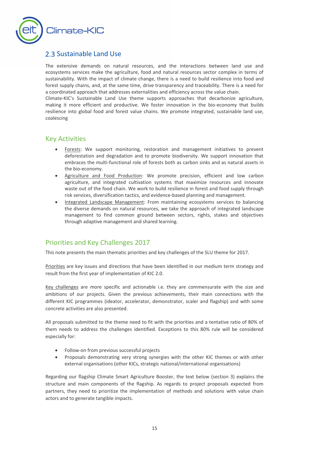

## <span id="page-14-0"></span>2.3 Sustainable Land Use

The extensive demands on natural resources, and the interactions between land use and ecosystems services make the agriculture, food and natural resources sector complex in terms of sustainability. With the impact of climate change, there is a need to build resilience into food and forest supply chains, and, at the same time, drive transparency and traceability. There is a need for a coordinated approach that addresses externalities and efficiency across the value chain.

Climate-KIC's Sustainable Land Use theme supports approaches that decarbonize agriculture, making it more efficient and productive. We foster innovation in the bio-economy that builds resilience into global food and forest value chains. We promote integrated, sustainable land use, coalescing

## Key Activities

- Forests: We support monitoring, restoration and management initiatives to prevent deforestation and degradation and to promote biodiversity. We support innovation that embraces the multi-functional role of forests both as carbon sinks and as natural assets in the bio-economy.
- Agriculture and Food Production: We promote precision, efficient and low carbon agriculture, and integrated cultivation systems that maximize resources and innovate waste out of the food chain. We work to build resilience in forest and food supply through risk services, diversification tactics, and evidence-based planning and management.
- Integrated Landscape Management: From maintaining ecosystems services to balancing the diverse demands on natural resources, we take the approach of integrated landscape management to find common ground between sectors, rights, stakes and objectives through adaptive management and shared learning.

## Priorities and Key Challenges 2017

This note presents the main thematic priorities and key challenges of the SLU theme for 2017.

Priorities are key issues and directions that have been identified in our medium term strategy and result from the first year of implementation of KIC 2.0.

Key challenges are more specific and actionable i.e. they are commensurate with the size and ambitions of our projects. Given the previous achievements, their main connections with the different KIC programmes (ideator, accelerator, demonstrator, scaler and flagship) and with some concrete activities are also presented.

All proposals submitted to the theme need to fit with the priorities and a tentative ratio of 80% of them needs to address the challenges identified. Exceptions to this 80% rule will be considered especially for:

- Follow-on from previous successful projects
- Proposals demonstrating very strong synergies with the other KIC themes or with other external organisations (other KICs, strategic national/international organisations)

Regarding our flagship Climate Smart Agriculture Booster, the text below (section 3) explains the structure and main components of the flagship. As regards to project proposals expected from partners, they need to prioritize the implementation of methods and solutions with value chain actors and to generate tangible impacts.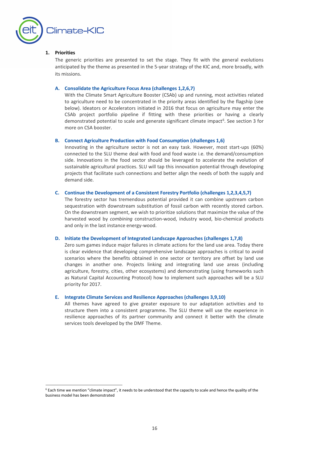

#### **1. Priorities**

<u>.</u>

The generic priorities are presented to set the stage. They fit with the general evolutions anticipated by the theme as presented in the 5-year strategy of the KIC and, more broadly, with its missions.

#### **A. Consolidate the Agriculture Focus Area (challenges 1,2,6,7)**

With the Climate Smart Agriculture Booster (CSAb) up and running, most activities related to agriculture need to be concentrated in the priority areas identified by the flagship (see below). Ideators or Accelerators initiated in 2016 that focus on agriculture may enter the CSAb project portfolio pipeline if fitting with these priorities or having a clearly demonstrated potential to scale and generate significant climate impact<sup>6</sup>. See section 3 for more on CSA booster.

#### **B. Connect Agriculture Production with Food Consumption (challenges 1,6)**

Innovating in the agriculture sector is not an easy task. However, most start-ups (60%) connected to the SLU theme deal with food and food waste i.e. the demand/consumption side. Innovations in the food sector should be leveraged to accelerate the evolution of sustainable agricultural practices. SLU will tap this innovation potential through developing projects that facilitate such connections and better align the needs of both the supply and demand side.

#### **C. Continue the Development of a Consistent Forestry Portfolio (challenges 1,2,3,4,5,7)**

The forestry sector has tremendous potential provided it can combine upstream carbon sequestration with downstream substitution of fossil carbon with recently stored carbon. On the downstream segment, we wish to prioritize solutions that maximize the value of the harvested wood by *combining* construction-wood, industry wood, bio-chemical products and only in the last instance energy-wood.

#### **D. Initiate the Development of Integrated Landscape Approaches (challenges 1,7,8)**

Zero sum games induce major failures in climate actions for the land use area. Today there is clear evidence that developing comprehensive landscape approaches is critical to avoid scenarios where the benefits obtained in one sector or territory are offset by land use changes in another one. Projects linking and integrating land use areas (including agriculture, forestry, cities, other ecosystems) and demonstrating (using frameworks such as Natural Capital Accounting Protocol) how to implement such approaches will be a SLU priority for 2017.

#### **E. Integrate Climate Services and Resilience Approaches (challenges 3,9,10)**

All themes have agreed to give greater exposure to our adaptation activities and to structure them into a consistent programme**.** The SLU theme will use the experience in resilience approaches of its partner community and connect it better with the climate services tools developed by the DMF Theme.

 $6$  Each time we mention "climate impact", it needs to be understood that the capacity to scale and hence the quality of the business model has been demonstrated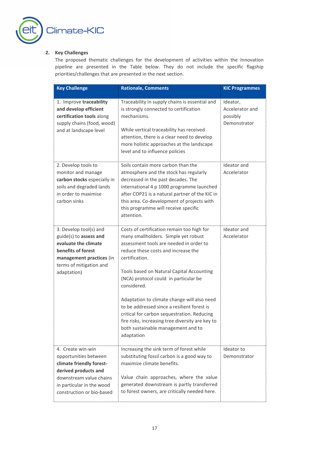

#### **2. Key Challenges**

The proposed thematic challenges for the development of activities within the Innovation pipeline are presented in the Table below. They do not include the specific flagship priorities/challenges that are presented in the next section.

| <b>Key Challenge</b>                                                                                                                                                                | <b>Rationale, Comments</b>                                                                                                                                                                                                                                                                                                                                                                                                                                                                                                                       | <b>KIC Programmes</b>                                   |
|-------------------------------------------------------------------------------------------------------------------------------------------------------------------------------------|--------------------------------------------------------------------------------------------------------------------------------------------------------------------------------------------------------------------------------------------------------------------------------------------------------------------------------------------------------------------------------------------------------------------------------------------------------------------------------------------------------------------------------------------------|---------------------------------------------------------|
| 1. Improve traceability<br>and develop efficient<br>certification tools along<br>supply chains (food, wood)<br>and at landscape level                                               | Traceability in supply chains is essential and<br>is strongly connected to certification<br>mechanisms.<br>While vertical traceability has received<br>attention, there is a clear need to develop<br>more holistic approaches at the landscape<br>level and to influence policies                                                                                                                                                                                                                                                               | Ideator,<br>Accelerator and<br>possibly<br>Demonstrator |
| 2. Develop tools to<br>monitor and manage<br>carbon stocks especially in<br>soils and degraded lands<br>in order to maximise<br>carbon sinks                                        | Soils contain more carbon than the<br>atmosphere and the stock has regularly<br>decreased in the past decades. The<br>international 4 p 1000 programme launched<br>after COP21 is a natural partner of the KIC in<br>this area. Co-development of projects with<br>this programme will receive specific<br>attention.                                                                                                                                                                                                                            | Ideator and<br>Accelerator                              |
| 3. Develop tool(s) and<br>guide(s) to assess and<br>evaluate the climate<br>benefits of forest<br>management practices (in<br>terms of mitigation and<br>adaptation)                | Costs of certification remain too high for<br>many smallholders. Simple yet robust<br>assessment tools are needed in order to<br>reduce these costs and increase the<br>certification.<br>Tools based on Natural Capital Accounting<br>(NCA) protocol could in particular be<br>considered.<br>Adaptation to climate change will also need<br>to be addressed since a resilient forest is<br>critical for carbon sequestration. Reducing<br>fire risks, increasing tree diversity are key to<br>both sustainable management and to<br>adaptation | Ideator and<br>Accelerator                              |
| 4. Create win-win<br>opportunities between<br>climate friendly forest-<br>derived products and<br>downstream value chains<br>in particular in the wood<br>construction or bio-based | Increasing the sink term of forest while<br>substituting fossil carbon is a good way to<br>maximize climate benefits.<br>Value chain approaches, where the value<br>generated downstream is partly transferred<br>to forest owners, are critically needed here.                                                                                                                                                                                                                                                                                  | Ideator to<br>Demonstrator                              |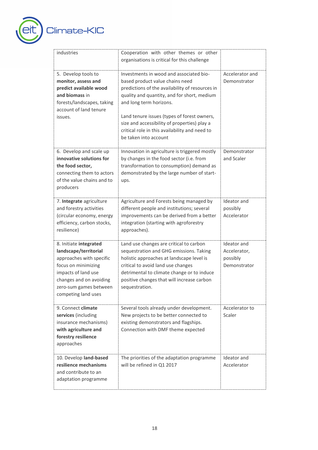

| industries                                                                                                                                                                                            | Cooperation with other themes or other<br>organisations is critical for this challenge                                                                                                                                                                                                                                                                                            |                                                         |
|-------------------------------------------------------------------------------------------------------------------------------------------------------------------------------------------------------|-----------------------------------------------------------------------------------------------------------------------------------------------------------------------------------------------------------------------------------------------------------------------------------------------------------------------------------------------------------------------------------|---------------------------------------------------------|
| 5. Develop tools to<br>monitor, assess and<br>predict available wood<br>and biomass in<br>forests/landscapes, taking<br>account of land tenure<br>issues.                                             | Investments in wood and associated bio-<br>based product value chains need<br>predictions of the availability of resources in<br>quality and quantity, and for short, medium<br>and long term horizons.<br>Land tenure issues (types of forest owners,<br>size and accessibility of properties) play a<br>critical role in this availability and need to<br>be taken into account | Accelerator and<br>Demonstrator                         |
| 6. Develop and scale up<br>innovative solutions for<br>the food sector,<br>connecting them to actors<br>of the value chains and to<br>producers                                                       | Innovation in agriculture is triggered mostly<br>by changes in the food sector (i.e. from<br>transformation to consumption) demand as<br>demonstrated by the large number of start-<br>ups.                                                                                                                                                                                       | Demonstrator<br>and Scaler                              |
| 7. Integrate agriculture<br>and forestry activities<br>(circular economy, energy<br>efficiency, carbon stocks,<br>resilience)                                                                         | Agriculture and Forests being managed by<br>different people and institutions; several<br>improvements can be derived from a better<br>integration (starting with agroforestry<br>approaches).                                                                                                                                                                                    | Ideator and<br>possibly<br>Accelerator                  |
| 8. Initiate integrated<br>landscape/territorial<br>approaches with specific<br>focus on minimizing<br>impacts of land use<br>changes and on avoiding<br>zero-sum games between<br>competing land uses | Land use changes are critical to carbon<br>sequestration and GHG emissions. Taking<br>holistic approaches at landscape level is<br>critical to avoid land use changes<br>detrimental to climate change or to induce<br>positive changes that will increase carbon<br>sequestration.                                                                                               | Ideator and<br>Accelerator,<br>possibly<br>Demonstrator |
| 9. Connect climate<br>services (including<br>insurance mechanisms)<br>with agriculture and<br>forestry resilience<br>approaches                                                                       | Several tools already under development.<br>New projects to be better connected to<br>existing demonstrators and flagships.<br>Connection with DMF theme expected                                                                                                                                                                                                                 | Accelerator to<br>Scaler                                |
| 10. Develop land-based<br>resilience mechanisms<br>and contribute to an<br>adaptation programme                                                                                                       | The priorities of the adaptation programme<br>will be refined in Q1 2017                                                                                                                                                                                                                                                                                                          | Ideator and<br>Accelerator                              |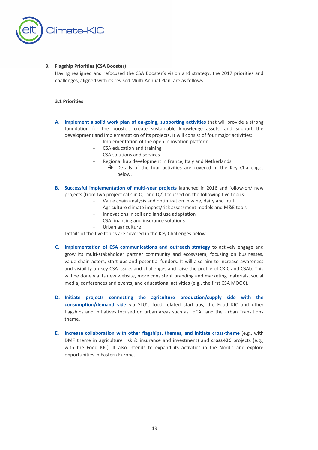

#### **3. Flagship Priorities (CSA Booster)**

Having realigned and refocused the CSA Booster's vision and strategy, the 2017 priorities and challenges, aligned with its revised Multi-Annual Plan, are as follows.

#### **3.1 Priorities**

- **A. Implement a solid work plan of on-going, supporting activities** that will provide a strong foundation for the booster, create sustainable knowledge assets, and support the development and implementation of its projects. It will consist of four major activities:
	- Implementation of the open innovation platform
	- CSA education and training
	- CSA solutions and services
	- Regional hub development in France, Italy and Netherlands
		- $\rightarrow$  Details of the four activities are covered in the Key Challenges below.
- **B. Successful implementation of multi-year projects** launched in 2016 and follow-on/ new projects (from two project calls in Q1 and Q2) focussed on the following five topics:
	- Value chain analysis and optimization in wine, dairy and fruit
	- Agriculture climate impact/risk assessment models and M&E tools
	- Innovations in soil and land use adaptation
	- CSA financing and insurance solutions
		- Urban agriculture

Details of the five topics are covered in the Key Challenges below.

- **C. Implementation of CSA communications and outreach strategy** to actively engage and grow its multi-stakeholder partner community and ecosystem, focusing on businesses, value chain actors, start-ups and potential funders. It will also aim to increase awareness and visibility on key CSA issues and challenges and raise the profile of CKIC and CSAb. This will be done via its new website, more consistent branding and marketing materials, social media, conferences and events, and educational activities (e.g., the first CSA MOOC).
- **D. Initiate projects connecting the agriculture production/supply side with the consumption/demand side** via SLU's food related start-ups, the Food KIC and other flagships and initiatives focused on urban areas such as LoCAL and the Urban Transitions theme.
- **E. Increase collaboration with other flagships, themes, and initiate cross-theme** (e.g., with DMF theme in agriculture risk & insurance and investment) and **cross-KIC** projects (e.g., with the Food KIC). It also intends to expand its activities in the Nordic and explore opportunities in Eastern Europe.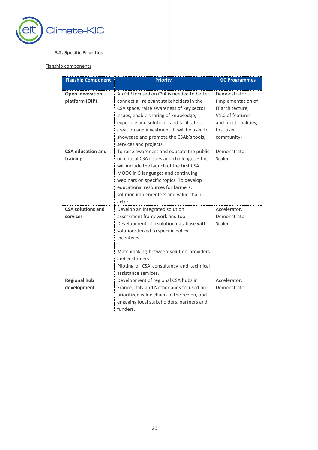

#### **3.2. Specific Priorities**

#### Flagship components

| <b>Flagship Component</b>                | <b>Priority</b>                                                                                                                                                                                                                                                                                                                             | <b>KIC Programmes</b>                                                                                                          |
|------------------------------------------|---------------------------------------------------------------------------------------------------------------------------------------------------------------------------------------------------------------------------------------------------------------------------------------------------------------------------------------------|--------------------------------------------------------------------------------------------------------------------------------|
| <b>Open innovation</b><br>platform (OIP) | An OIP focused on CSA is needed to better<br>connect all relevant stakeholders in the<br>CSA space, raise awareness of key sector<br>issues, enable sharing of knowledge,<br>expertise and solutions, and facilitate co-<br>creation and investment. It will be used to<br>showcase and promote the CSAb's tools,<br>services and projects. | Demonstrator<br>(implementation of<br>IT architecture,<br>V1.0 of features<br>and functionalities,<br>first user<br>community) |
| <b>CSA education and</b><br>training     | To raise awareness and educate the public<br>on critical CSA issues and challenges - this<br>will include the launch of the first CSA<br>MOOC in 5 languages and continuing<br>webinars on specific topics. To develop<br>educational resources for farmers,<br>solution implementers and value chain<br>actors.                            | Demonstrator,<br>Scaler                                                                                                        |
| <b>CSA solutions and</b><br>services     | Develop an integrated solution<br>assessment framework and tool.<br>Development of a solution database with<br>solutions linked to specific policy<br>incentives.<br>Matchmaking between solution providers<br>and customers.<br>Piloting of CSA consultancy and technical<br>assistance services.                                          | Accelerator,<br>Demonstrator,<br>Scaler                                                                                        |
| <b>Regional hub</b><br>development       | Development of regional CSA hubs in<br>France, Italy and Netherlands focused on<br>prioritized value chains in the region, and<br>engaging local stakeholders, partners and<br>funders.                                                                                                                                                     | Accelerator,<br>Demonstrator                                                                                                   |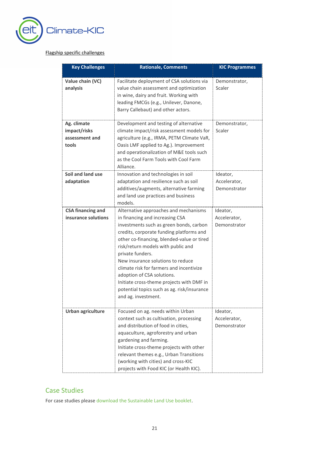

#### Flagship specific challenges

| <b>Key Challenges</b>                                  | <b>Rationale, Comments</b>                                                                                                                                                                                                                                                                                                                                                                                                                                                                                | <b>KIC Programmes</b>                    |
|--------------------------------------------------------|-----------------------------------------------------------------------------------------------------------------------------------------------------------------------------------------------------------------------------------------------------------------------------------------------------------------------------------------------------------------------------------------------------------------------------------------------------------------------------------------------------------|------------------------------------------|
| Value chain (VC)<br>analysis                           | Facilitate deployment of CSA solutions via<br>value chain assessment and optimization<br>in wine, dairy and fruit. Working with<br>leading FMCGs (e.g., Unilever, Danone,<br>Barry Callebaut) and other actors.                                                                                                                                                                                                                                                                                           | Demonstrator,<br>Scaler                  |
| Ag. climate<br>impact/risks<br>assessment and<br>tools | Development and testing of alternative<br>climate impact/risk assessment models for<br>agriculture (e.g., IRMA, PETM Climate VaR,<br>Oasis LMF applied to Ag.). Improvement<br>and operationalization of M&E tools such<br>as the Cool Farm Tools with Cool Farm<br>Alliance.                                                                                                                                                                                                                             | Demonstrator,<br>Scaler                  |
| Soil and land use<br>adaptation                        | Innovation and technologies in soil<br>adaptation and resilience such as soil<br>additives/augments, alternative farming<br>and land use practices and business<br>models.                                                                                                                                                                                                                                                                                                                                | Ideator,<br>Accelerator,<br>Demonstrator |
| <b>CSA financing and</b><br>insurance solutions        | Alternative approaches and mechanisms<br>in financing and increasing CSA<br>investments such as green bonds, carbon<br>credits, corporate funding platforms and<br>other co-financing, blended-value or tired<br>risk/return models with public and<br>private funders.<br>New insurance solutions to reduce<br>climate risk for farmers and incentivize<br>adoption of CSA solutions.<br>Initiate cross-theme projects with DMF in<br>potential topics such as ag. risk/insurance<br>and ag. investment. | Ideator,<br>Accelerator,<br>Demonstrator |
| Urban agriculture                                      | Focused on ag. needs within Urban<br>context such as cultivation, processing<br>and distribution of food in cities,<br>aquaculture, agroforestry and urban<br>gardening and farming.<br>Initiate cross-theme projects with other<br>relevant themes e.g., Urban Transitions<br>(working with cities) and cross-KIC<br>projects with Food KIC (or Health KIC).                                                                                                                                             | Ideator,<br>Accelerator,<br>Demonstrator |

## Case Studies

For case studies pleas[e download the Sustainable Land Use booklet.](http://www.climate-kic.org/wp-content/uploads/2015/09/161031_CIS_2016_Brochure_Sustainable_Land_Use_A4_100DPI.pdf)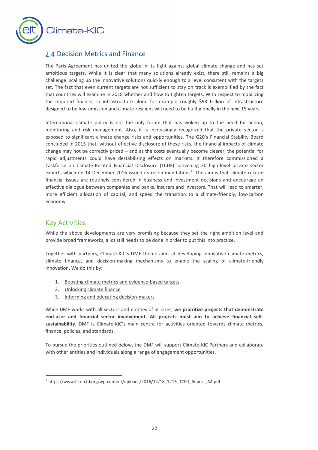

## 2.4 Decision Metrics and Finance

The Paris Agreement has united the globe in its fight against global climate change and has set ambitious targets. While it is clear that many solutions already exist, there still remains a big challenge: scaling up the innovative solutions quickly enough to a level consistent with the targets set. The fact that even current targets are not sufficient to stay on track is exemplified by the fact that countries will examine in 2018 whether and how to tighten targets. With respect to mobilizing the required finance, in infrastructure alone for example roughly \$93 trillion of infrastructure designed to be low-emission and climate-resilient will need to be built globally in the next 15 years.

International climate policy is not the only forum that has woken up to the need for action, monitoring and risk management. Also, it is increasingly recognized that the private sector is exposed to significant climate change risks and opportunities. The G20's Financial Stability Board concluded in 2015 that, without effective disclosure of these risks, the financial impacts of climate change may not be correctly priced – and as the costs eventually become clearer, the potential for rapid adjustments could have destabilizing effects on markets. It therefore commissioned a Taskforce on Climate-Related Financial Disclosure (TCDF) convening 30 high-level private sector experts which on 14 December 2016 issued its recommendations<sup>7</sup>. The aim is that climate-related financial issues are routinely considered in business and investment decisions and encourage an effective dialogue between companies and banks, insurers and investors. That will lead to smarter, more efficient allocation of capital, and speed the transition to a climate-friendly, low-carbon economy.

## Key Activities

<u>.</u>

While the above developments are very promising because they set the right ambition level and provide broad frameworks, a lot still needs to be done in order to put this into practice.

Together with partners, Climate-KIC's DMF theme aims at developing innovative climate metrics, climate finance, and decision-making mechanisms to enable the scaling of climate-friendly innovation. We do this by:

- 1. Boosting climate metrics and evidence-based targets
- 2. Unlocking climate finance
- 3. Informing and educating decision-makers

While DMF works with all sectors and entities of all sizes, **we prioritize projects that demonstrate end-user and financial sector involvement. All projects must aim to achieve financial selfsustainability**. DMF is Climate-KIC's main centre for activities oriented towards climate metrics, finance, policies, and standards.

To pursue the priorities outlined below, the DMF will support Climate-KIC Partners and collaborate with other entities and individuals along a range of engagement opportunities.

<sup>&</sup>lt;sup>7</sup> [https://www.fsb-tcfd.org/wp-content/uploads/2016/12/18\\_1216\\_TCFD\\_Report\\_A4.pdf](https://www.fsb-tcfd.org/wp-content/uploads/2016/12/18_1216_TCFD_Report_A4.pdf)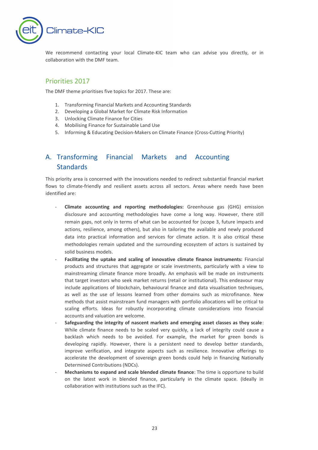

We recommend contacting your local Climate-KIC team who can advise you directly, or in collaboration with the DMF team.

## Priorities 2017

The DMF theme prioritises five topics for 2017. These are:

- 1. Transforming Financial Markets and Accounting Standards
- 2. Developing a Global Market for Climate Risk Information
- 3. Unlocking Climate Finance for Cities
- 4. Mobilising Finance for Sustainable Land Use
- 5. Informing & Educating Decision-Makers on Climate Finance (Cross-Cutting Priority)

## A. Transforming Financial Markets and Accounting **Standards**

This priority area is concerned with the innovations needed to redirect substantial financial market flows to climate-friendly and resilient assets across all sectors. Areas where needs have been identified are:

- **Climate accounting and reporting methodologies:** Greenhouse gas (GHG) emission disclosure and accounting methodologies have come a long way. However, there still remain gaps, not only in terms of what can be accounted for (scope 3, future impacts and actions, resilience, among others), but also in tailoring the available and newly produced data into practical information and services for climate action. It is also critical these methodologies remain updated and the surrounding ecosystem of actors is sustained by solid business models.
- **Facilitating the uptake and scaling of innovative climate finance instruments:** Financial products and structures that aggregate or scale investments, particularly with a view to mainstreaming climate finance more broadly. An emphasis will be made on instruments that target investors who seek market returns (retail or institutional). This endeavour may include applications of blockchain, behavioural finance and data visualisation techniques, as well as the use of lessons learned from other domains such as microfinance. New methods that assist mainstream fund managers with portfolio allocations will be critical to scaling efforts. Ideas for robustly incorporating climate considerations into financial accounts and valuation are welcome.
- **Safeguarding the integrity of nascent markets and emerging asset classes as they scale**: While climate finance needs to be scaled very quickly, a lack of integrity could cause a backlash which needs to be avoided. For example, the market for green bonds is developing rapidly. However, there is a persistent need to develop better standards, improve verification, and integrate aspects such as resilience. Innovative offerings to accelerate the development of sovereign green bonds could help in financing Nationally Determined Contributions (NDCs).
- **Mechanisms to expand and scale blended climate finance**: The time is opportune to build on the latest work in blended finance, particularly in the climate space. (Ideally in collaboration with institutions such as the IFC).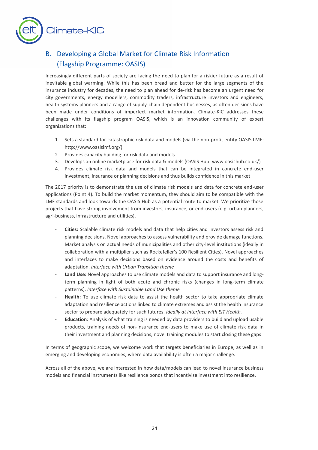

## B. Developing a Global Market for Climate Risk Information (Flagship Programme: OASIS)

Increasingly different parts of society are facing the need to plan for a riskier future as a result of inevitable global warming. While this has been bread and butter for the large segments of the insurance industry for decades, the need to plan ahead for de-risk has become an urgent need for city governments, energy modellers, commodity traders, infrastructure investors and engineers, health systems planners and a range of supply-chain dependent businesses, as often decisions have been made under conditions of imperfect market information. Climate-KIC addresses these challenges with its flagship program OASIS, which is an innovation community of expert organisations that:

- 1. Sets a standard for catastrophic risk data and models (via the non-profit entity OASIS LMF: http://www.oasislmf.org/)
- 2. Provides capacity building for risk data and models
- 3. Develops an online marketplace for risk data & models (OASIS Hub[: www.oasishub.co.uk/\)](http://www.oasishub.co.uk/)
- 4. Provides climate risk data and models that can be integrated in concrete end-user investment, insurance or planning decisions and thus builds confidence in this market

The 2017 priority is to demonstrate the use of climate risk models and data for concrete end-user applications (Point 4). To build the market momentum, they should aim to be compatible with the LMF standards and look towards the OASIS Hub as a potential route to market. We prioritize those projects that have strong involvement from investors, insurance, or end-users (e.g. urban planners, agri-business, infrastructure and utilities).

- **Cities:** Scalable climate risk models and data that help cities and investors assess risk and planning decisions. Novel approaches to assess vulnerability and provide damage functions. Market analysis on actual needs of municipalities and other city-level institutions (ideally in collaboration with a multiplier such as Rockefeller's 100 Resilient Cities). Novel approaches and interfaces to make decisions based on evidence around the costs and benefits of adaptation. *Interface with Urban Transition theme*
- Land Use: Novel approaches to use climate models and data to support insurance and longterm planning in light of both acute and chronic risks (changes in long-term climate patterns). *Interface with Sustainable Land Use theme*
- Health: To use climate risk data to assist the health sector to take appropriate climate adaptation and resilience actions linked to climate extremes and assist the health insurance sector to prepare adequately for such futures. *Ideally at interface with EIT Health.*
- **Education**: Analysis of what training is needed by data providers to build and upload usable products, training needs of non-insurance end-users to make use of climate risk data in their investment and planning decisions, novel training modules to start closing these gaps

In terms of geographic scope, we welcome work that targets beneficiaries in Europe, as well as in emerging and developing economies, where data availability is often a major challenge.

Across all of the above, we are interested in how data/models can lead to novel insurance business models and financial instruments like resilience bonds that incentivise investment into resilience.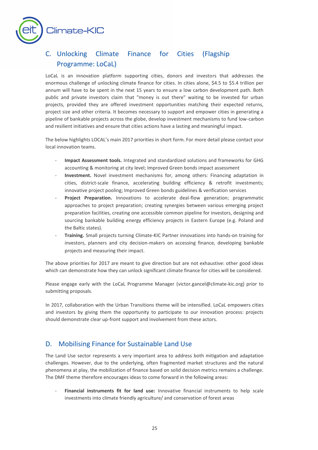

## C. Unlocking Climate Finance for Cities (Flagship Programme: LoCaL)

LoCaL is an innovation platform supporting cities, donors and investors that addresses the enormous challenge of unlocking climate finance for cities. In cities alone, \$4.5 to \$5.4 trillion per annum will have to be spent in the next 15 years to ensure a low carbon development path. Both public and private investors claim that "money is out there" waiting to be invested for urban projects, provided they are offered investment opportunities matching their expected returns, project size and other criteria. It becomes necessary to support and empower cities in generating a pipeline of bankable projects across the globe, develop investment mechanisms to fund low-carbon and resilient initiatives and ensure that cities actions have a lasting and meaningful impact.

The below highlights LOCAL's main 2017 priorities in short form. For more detail please contact your local innovation teams.

- **Impact Assessment tools.** Integrated and standardized solutions and frameworks for GHG accounting & monitoring at city level; Improved Green bonds impact assessment
- Investment. Novel investment mechanisms for, among others: Financing adaptation in cities, district-scale finance, accelerating building efficiency & retrofit investments; innovative project pooling; Improved Green bonds guidelines & verification services
- **Project Preparation.** Innovations to accelerate deal-flow generation; programmatic approaches to project preparation; creating synergies between various emerging project preparation facilities, creating one accessible common pipeline for investors, designing and sourcing bankable building energy efficiency projects in Eastern Europe (e.g. Poland and the Baltic states).
- **Training.** Small projects turning Climate-KIC Partner innovations into hands-on training for investors, planners and city decision-makers on accessing finance, developing bankable projects and measuring their impact.

The above priorities for 2017 are meant to give direction but are not exhaustive: other good ideas which can demonstrate how they can unlock significant climate finance for cities will be considered.

Please engage early with the LoCaL Programme Manager [\(victor.gancel@climate-kic.org\)](mailto:victor.gancel@climate-kic.org) prior to submitting proposals.

In 2017, collaboration with the Urban Transitions theme will be intensified. LoCaL empowers cities and investors by giving them the opportunity to participate to our innovation process: projects should demonstrate clear up-front support and involvement from these actors.

## D. Mobilising Finance for Sustainable Land Use

The Land Use sector represents a very important area to address both mitigation and adaptation challenges. However, due to the underlying, often fragmented market structures and the natural phenomena at play, the mobilization of finance based on solid decision metrics remains a challenge. The DMF theme therefore encourages ideas to come forward in the following areas:

- **Financial instruments fit for land use:** Innovative financial instruments to help scale investments into climate friendly agriculture/ and conservation of forest areas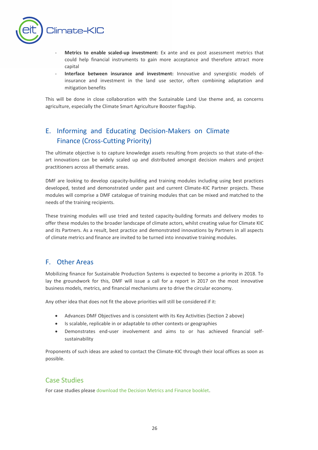

- Metrics to enable scaled-up investment: Ex ante and ex post assessment metrics that could help financial instruments to gain more acceptance and therefore attract more capital
- Interface between insurance and investment: Innovative and synergistic models of insurance and investment in the land use sector, often combining adaptation and mitigation benefits

This will be done in close collaboration with the Sustainable Land Use theme and, as concerns agriculture, especially the Climate Smart Agriculture Booster flagship.

## E. Informing and Educating Decision-Makers on Climate Finance (Cross-Cutting Priority)

The ultimate objective is to capture knowledge assets resulting from projects so that state-of-theart innovations can be widely scaled up and distributed amongst decision makers and project practitioners across all thematic areas.

DMF are looking to develop capacity-building and training modules including using best practices developed, tested and demonstrated under past and current Climate-KIC Partner projects. These modules will comprise a DMF catalogue of training modules that can be mixed and matched to the needs of the training recipients.

These training modules will use tried and tested capacity-building formats and delivery modes to offer these modules to the broader landscape of climate actors, whilst creating value for Climate KIC and its Partners. As a result, best practice and demonstrated innovations by Partners in all aspects of climate metrics and finance are invited to be turned into innovative training modules.

## F. Other Areas

Mobilizing finance for Sustainable Production Systems is expected to become a priority in 2018. To lay the groundwork for this, DMF will issue a call for a report in 2017 on the most innovative business models, metrics, and financial mechanisms are to drive the circular economy.

Any other idea that does not fit the above priorities will still be considered if it:

- Advances DMF Objectives and is consistent with its Key Activities (Section 2 above)
- Is scalable, replicable in or adaptable to other contexts or geographies
- Demonstrates end-user involvement and aims to or has achieved financial selfsustainability

Proponents of such ideas are asked to contact the Climate-KIC through their local offices as soon as possible.

## Case Studies

For case studies pleas[e download the Decision Metrics and Finance booklet.](http://www.climate-kic.org/wp-content/uploads/2015/09/161031_CIS_2016_Brochure_Decision_Metrics_and_Finance_A4_100DPI.pdf)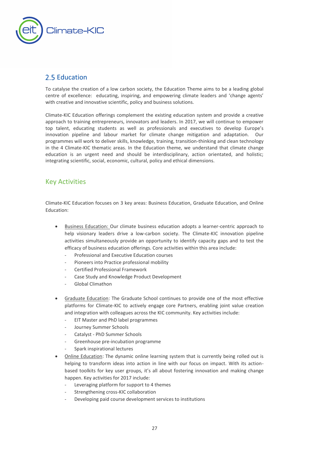

## <span id="page-26-0"></span>2.5 Education

To catalyse the creation of a low carbon society, the Education Theme aims to be a leading global centre of excellence: educating, inspiring, and empowering climate leaders and 'change agents' with creative and innovative scientific, policy and business solutions.

Climate-KIC Education offerings complement the existing education system and provide a creative approach to training entrepreneurs, innovators and leaders. In 2017, we will continue to empower top talent, educating students as well as professionals and executives to develop Europe's innovation pipeline and labour market for climate change mitigation and adaptation. Our programmes will work to deliver skills, knowledge, training, transition-thinking and clean technology in the 4 Climate-KIC thematic areas. In the Education theme, we understand that climate change education is an urgent need and should be interdisciplinary, action orientated, and holistic; integrating scientific, social, economic, cultural, policy and ethical dimensions.

## Key Activities

Climate-KIC Education focuses on 3 key areas: Business Education, Graduate Education, and Online Education:

- Business Education: Our climate business education adopts a learner-centric approach to help visionary leaders drive a low-carbon society. The Climate-KIC innovation pipeline activities simultaneously provide an opportunity to identify capacity gaps and to test the efficacy of business education offerings. Core activities within this area include:
	- Professional and Executive Education courses
	- Pioneers into Practice professional mobility
	- Certified Professional Framework
	- Case Study and Knowledge Product Development
	- Global Climathon
- Graduate Education: The Graduate School continues to provide one of the most effective platforms for Climate-KIC to actively engage core Partners, enabling joint value creation and integration with colleagues across the KIC community. Key activities include:
	- EIT Master and PhD label programmes
	- Journey Summer Schools
	- Catalyst PhD Summer Schools
	- Greenhouse pre-incubation programme
	- Spark inspirational lectures
- Online Education: The dynamic online learning system that is currently being rolled out is helping to transform ideas into action in line with our focus on impact. With its actionbased toolkits for key user groups, it's all about fostering innovation and making change happen. Key activities for 2017 include:
	- Leveraging platform for support to 4 themes
	- Strengthening cross-KIC collaboration
	- Developing paid course development services to institutions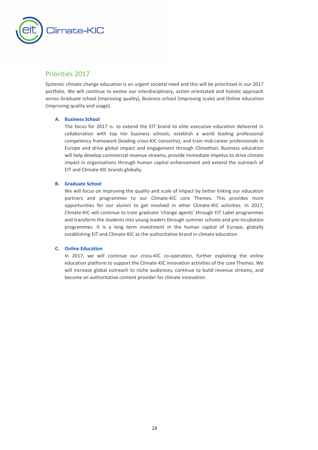

## Priorities 2017

Systemic climate change education is an urgent societal need and this will be prioritised in our 2017 portfolio. We will continue to evolve our interdisciplinary, action orientated and holistic approach across Graduate school (improving quality), Business school (improving scale) and Online education (improving quality and usage).

#### **A. Business School**

The focus for 2017 is: to extend the EIT brand to elite executive education delivered in collaboration with top tier business schools; establish a world leading professional competency framework (leading cross-KIC consortia); and train mid-career professionals in Europe and drive global impact and engagement through Climathon. Business education will help develop commercial revenue streams, provide immediate impetus to drive climate impact in organisations through human capital enhancement and extend the outreach of EIT and Climate-KIC brands globally.

#### **B. Graduate School**

We will focus on improving the quality and scale of impact by better linking our education partners and programmes to our Climate-KIC core Themes. This provides more opportunities for our alumni to get involved in other Climate-KIC activities. In 2017, Climate-KIC will continue to train graduate 'change agents' through EIT Label programmes and transform the students into young leaders through summer schools and pre-incubation programmes. It is a long term investment in the human capital of Europe, globally establishing EIT and Climate-KIC as the authoritative brand in climate education.

#### **C. Online Education**

In 2017, we will continue our cross-KIC co-operation, further exploiting the online education platform to support the Climate-KIC innovation activities of the core Themes. We will increase global outreach to niche audiences, continue to build revenue streams, and become an authoritative content provider for climate innovation.